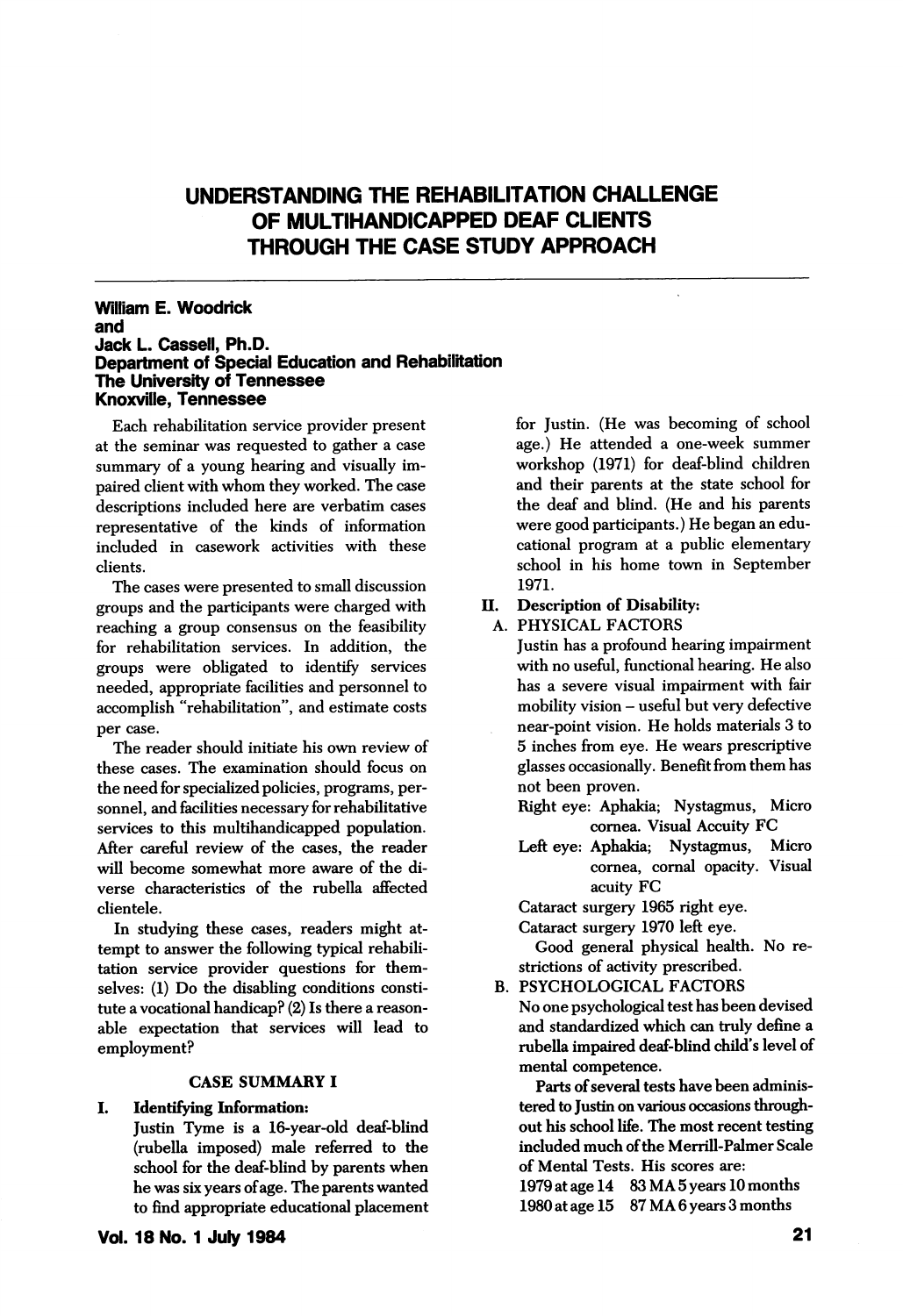# UNDERSTANDING THE REHABILITATION CHALLENGE OF MULTIHANDICAPPED DEAF CLIENTS THROUGH THE CASE STUDY APPROACH

### William E. Woodrick and Jack L. Casseil, Ph.D. Department of Speciai Education and Rehabilitation The University of Tennessee Knoxville, Tennessee

Each rehabilitation service provider present at the seminar was requested to gather a case summary of a young hearing and visually im paired client with whom they worked. The case descriptions included here are verbatim cases representative of the kinds of information included in casework activities with these clients.

The cases were presented to small discussion groups and the participants were charged with II. reaching a group consensus on the feasibility for rehabilitation services. In addition, the groups were obligated to identify services needed, appropriate facihties and personnel to accomplish "rehabilitation", and estimate costs per case.

The reader should initiate his own review of these cases. The examination should focus on the need for specialized policies, programs, per sonnel, and facilities necessary for rehabilitative services to this multihandicapped population. After careful review of the cases, the reader will become somewhat more aware of the di verse characteristics of the rubella affected clientele.

In studying these cases, readers might at tempt to answer the following typical rehabih tation service provider questions for them selves: (1) Do the disabling conditions constitute a vocational handicap? (2) Is there a reason able expectation that services will lead to employment?

## CASE SUMMARY I

#### I. Identifying Information:

Justin Tyme is a 16-year-old deaf-blind (rubella imposed) male referred to the school for the deaf-blind by parents when he was six years of age. The parents wanted to find appropriate educational placement for Justin. (He was becoming of school age.) He attended a one-week summer workshop (1971) for deaf-blind children and their parents at the state school for the deaf and blind. (He and his parents were good participants.) He began an edu cational program at a public elementary school in his home town in September 1971.

## Description of Disability:

A. PHYSICAL FACTORS

Justin has a profound hearing impairment with no useful, functional hearing. He also has a severe visual impairment with fair mobility vision - useful but very defective near-point vision. He holds materials 3 to 5 inches from eye. He wears prescriptive glasses occasionally. Benefit from them has not been proven.

- Right eye: Aphakia; Nystagmus, Micro cornea. Visual Accuity FC
- Left eye: Aphakia; Nystagmus, Micro cornea, comal opacity. Visual acuity FC

Cataract surgery 1965 right eye.

Cataract surgery 1970 left eye.

Good general physical health. No re strictions of activity prescribed.

B. PSYCHOLOGICAL FACTORS

No one psychological test has been devised and standardized which can truly define a rubella impaired deaf-blind child's level of mental competence.

Parts of several tests have been adminis tered to Justin on various occasions through out his school life. The most recent testing included much of the Merrill-Palmer Scale of Mental Tests. His scores are:

1979 at age 14 83 MA 5 years 10 months 1980 at age 15 87 MA 6 years 3 months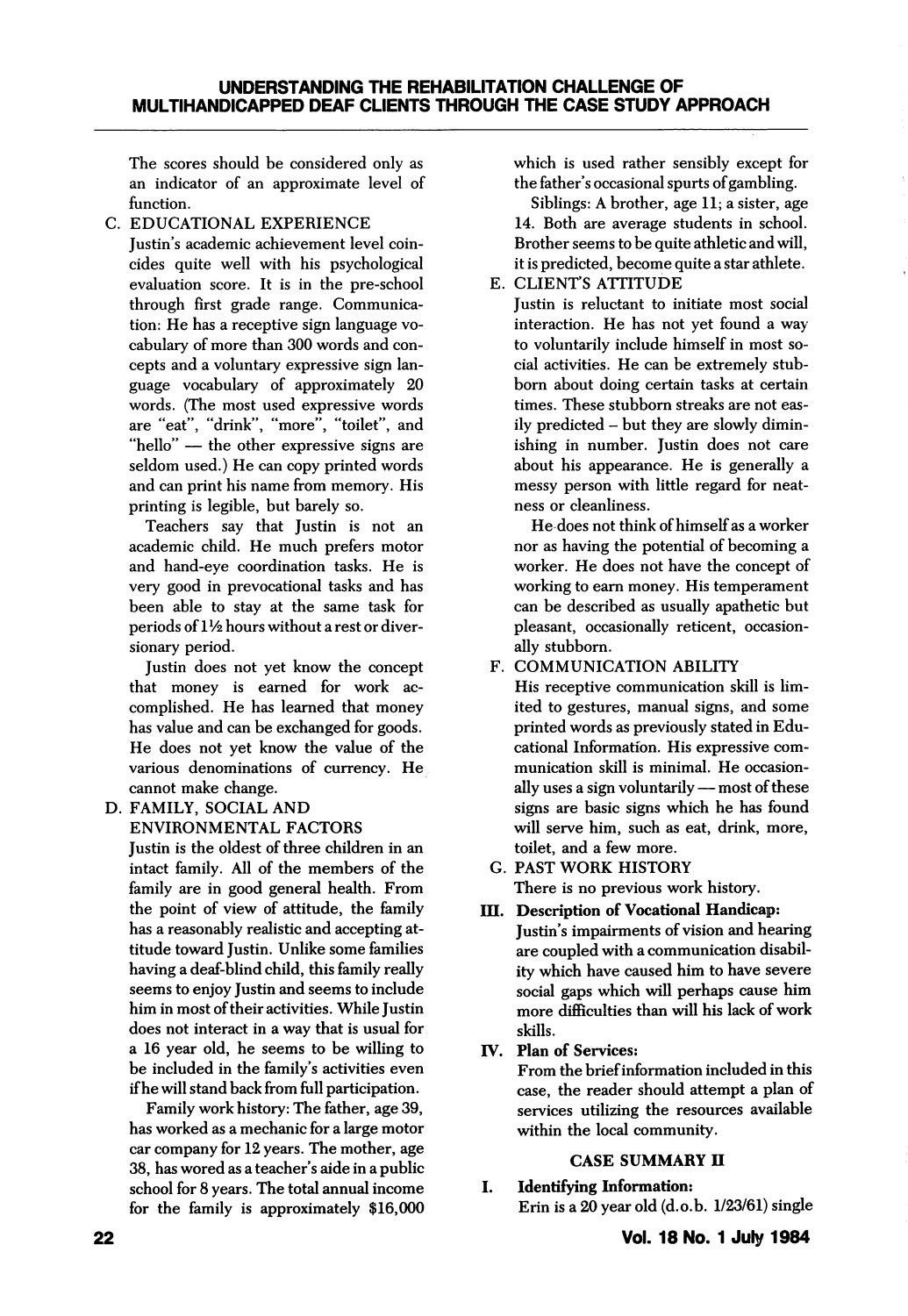The scores should be considered only as an indicator of an approximate level of function.

C. EDUCATIONAL EXPERIENCE

Justin's academic achievement level coin cides quite well with his psychological evaluation score. It is in the pre-school through first grade range. Communica tion: He has a receptive sign language vo cabulary of more than 300 words and con cepts and a voluntary expressive sign lan guage vocabulary of approximately 20 words. (The most used expressive words are "eat", "drink", "more", "toilet", and "hello" — the other expressive signs are seldom used.) He can copy printed words and can print his name from memory. His printing is legible, but barely so.

Teachers say that Justin is not an academic child. He much prefers motor and hand-eye coordination tasks. He is very good in prevocational tasks and has been able to stay at the same task for periods of  $1\frac{1}{2}$  hours without a rest or diversionary period.

Justin does not yet know the concept that money is earned for work ac complished. He has learned that money has value and can be exchanged for goods. He does not yet know the value of the various denominations of currency. He cannot make change.

D. FAMILY, SOCIAL AND ENVIRONMENTAL FACTORS

Justin is the oldest of three children in an intact family. All of the members of the family are in good general health. From the point of view of attitude, the family has a reasonably realistic and accepting at titude toward Justin. Unlike some families having a deaf-blind child, this family really seems to enjoy Justin and seems to include him in most of their activities. While Justin does not interact in a way that is usual for a 16 year old, he seems to be willing to be included in the family's activities even if he will stand back from full participation.

Family work history: The father, age 39, has worked as a mechanic for a large motor car company for 12 years. The mother, age 38, has wored as a teacher's aide in a public school for 8 years. The total annual income for the family is approximately \$16,000 which is used rather sensibly except for the father's occasional spurts of gambling.

Siblings: A brother, age II; a sister, age 14. Both are average students in school. Brother seems to be quite athletic and will, it is predicted, become quite a star athlete.

E. CLIENT'S ATTITUDE

Justin is reluctant to initiate most social interaction. He has not yet found a way to voluntarily include himself in most so cial activities. He can be extremely stubbom about doing certain tasks at certain times. These stubborn streaks are not eas ily predicted - but they are slowly dimin ishing in number. Justin does not care about his appearance. He is generally a messy person with little regard for neat ness or cleanliness.

He does not think of himself as a worker nor as having the potential of becoming a worker. He does not have the concept of working to earn money. His temperament can be described as usually apathetic but pleasant, occasionally reticent, occasion ally stubborn.

F. COMMUNICATION ABILITY

His receptive communication skill is lim ited to gestures, manual signs, and some printed words as previously stated in Edu cational Information. His expressive com munication skill is minimal. He occasion ally uses a sign voluntarily — most of these signs are basic signs which he has found will serve him, such as eat, drink, more, toilet, and a few more.

- G. PAST WORK HISTORY There is no previous work history.
- III. Description of Vocational Handicap: Justin's impairments of vision and hearing are coupled with a communication disabil ity which have caused him to have severe social gaps which will perhaps cause him more difficulties than will his lack of work skills.
- IV. Plan of Services:

From the brief information included in this case, the reader should attempt a plan of services utilizing the resources available within the local community.

## CASE SUMMARY II

I. Identifying Information: Erin is a 20 year old (d.o.b. 1/23/61) single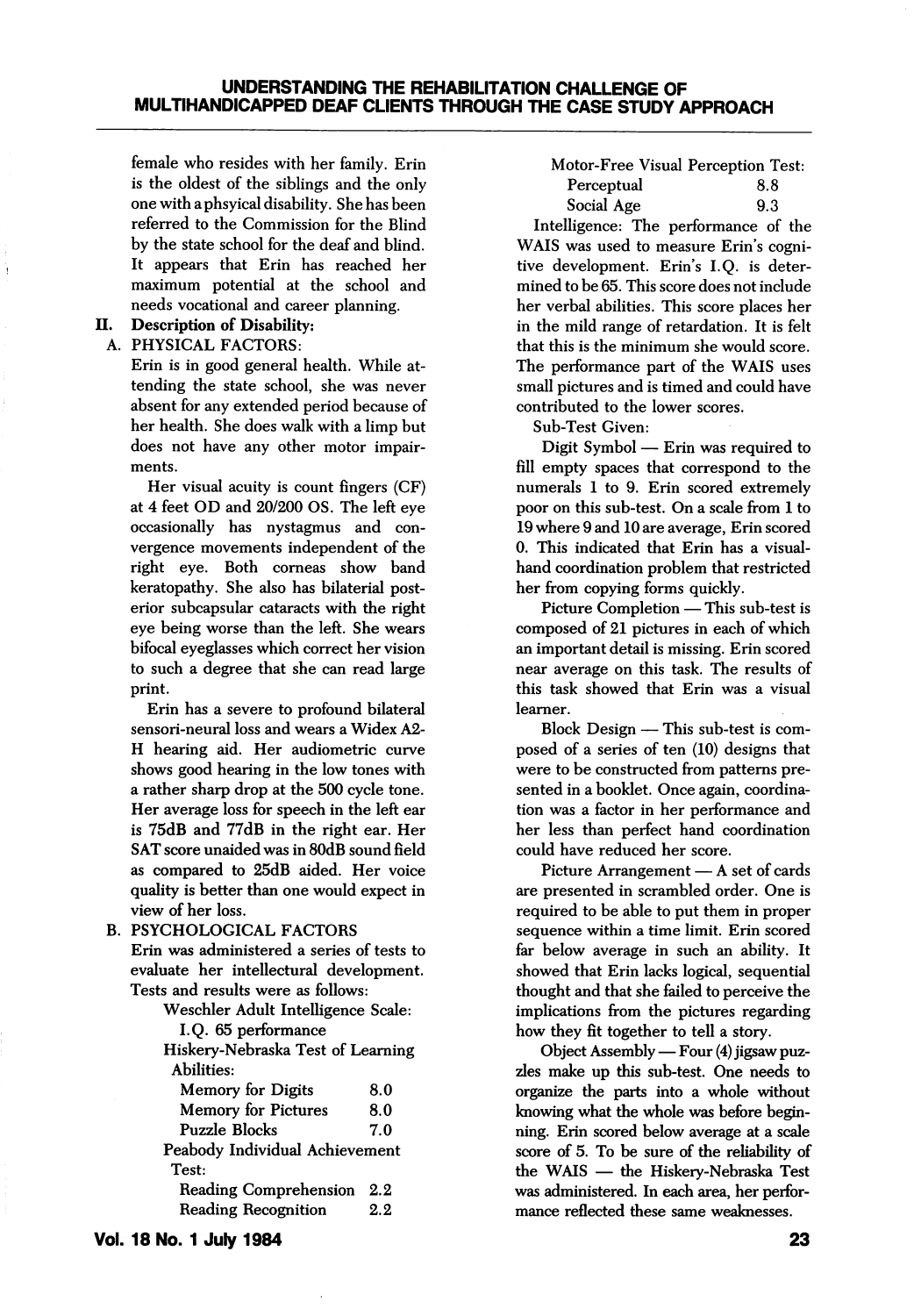female who resides with her family. Erin is the oldest of the siblings and the only one with aphsyical disability. She has been referred to the Commission for the Blind by the state school for the deaf and blind. It appears that Erin has reached her maximum potential at the school and needs vocational and career planning.

## II. Description of Disability:

### A. PHYSICAL FACTORS:

Erin is in good general health. While at tending the state school, she was never absent for any extended period because of her health. She does walk with a limp but does not have any other motor impair ments.

Her visual acuity is count fingers (CF) at 4 feet CD and 20/200 OS. The left eye occasionally has nystagmus and con vergence movements independent of the right eye. Both corneas show band keratopathy. She also has bilaterial post erior subcapsular cataracts with the right eye being worse than the left. She wears bifocal eyeglasses which correct her vision to such a degree that she can read large print.

Erin has a severe to profound bilateral sensori-neural loss and wears a Widex A2- H hearing aid. Her audiometric curve shows good hearing in the low tones with a rather sharp drop at the 500 cycle tone. Her average loss for speech in the left ear is 75dB and 77dB in the right ear. Her SAT score unaided was in 80dB sound field as compared to 25dB aided. Her voice quality is better than one would expect in view of her loss.

B. PSYCHOLOGICAL FACTORS Erin was administered a series of tests to evaluate her intellectural development. Tests and results were as follows:

Weschler Adult Intelligence Scale:

I.Q. 65 performance

Hiskery-Nebraska Test of Learning Abilities: Memory for Digits 8.0 Memory for Pictures 8.0 Puzzle Blocks 7.0 Peabody Individual Achievement Test: Reading Comprehension 2.2 Reading Recognition 2.2

Motor-Free Visual Perception Test: Perceptual 8.8 Social Age 9.3

Intelligence: The performance of the WAIS was used to measure Erin's cogni tive development. Erin's I.Q. is deter mined to be 65. This score does not include her verbal abilities. This score places her in the mild range of retardation. It is felt that this is the minimum she would score. The performance part of the WAIS uses small pictures and is timed and could have contributed to the lower scores.

Sub-Test Given:

Digit Symbol — Erin was required to fill empty spaces that correspond to the numerals 1 to 9. Erin scored extremely poor on this sub-test. On a scale from 1 to 19 where 9 and 10 are average, Erin scored 0. This indicated that Erin has a visualhand coordination problem that restricted her from copying forms quickly.

Picture Completion — This sub-test is composed of 21 pictures in each of which an important detail is missing. Erin scored near average on this task. The results of this task showed that Erin was a visual learner.

Block Design — This sub-test is com posed of a series of ten (10) designs that were to be constructed from patterns pre sented in a booklet. Once again, coordina tion was a factor in her performance and her less than perfect hand coordination could have reduced her score.

Picture Arrangement — A set of cards are presented in scrambled order. One is required to be able to put them in proper sequence within a time limit. Erin scored far below average in such an ability. It showed that Erin lacks logical, sequential thought and that she failed to perceive the implications from the pictures regarding how they fit together to tell a story.

Object Assembly — Four (4) jigsaw puz zles make up this sub-test. One needs to organize the parts into a whole without knowing what the whole was before begin ning. Erin scored below average at a scale score of 5. To be sure of the reliability of the WAIS — the Hiskery-Nebraska Test was administered. In each area, her perfor mance reflected these same weaknesses.

Vol. 18 No. 1 July 1984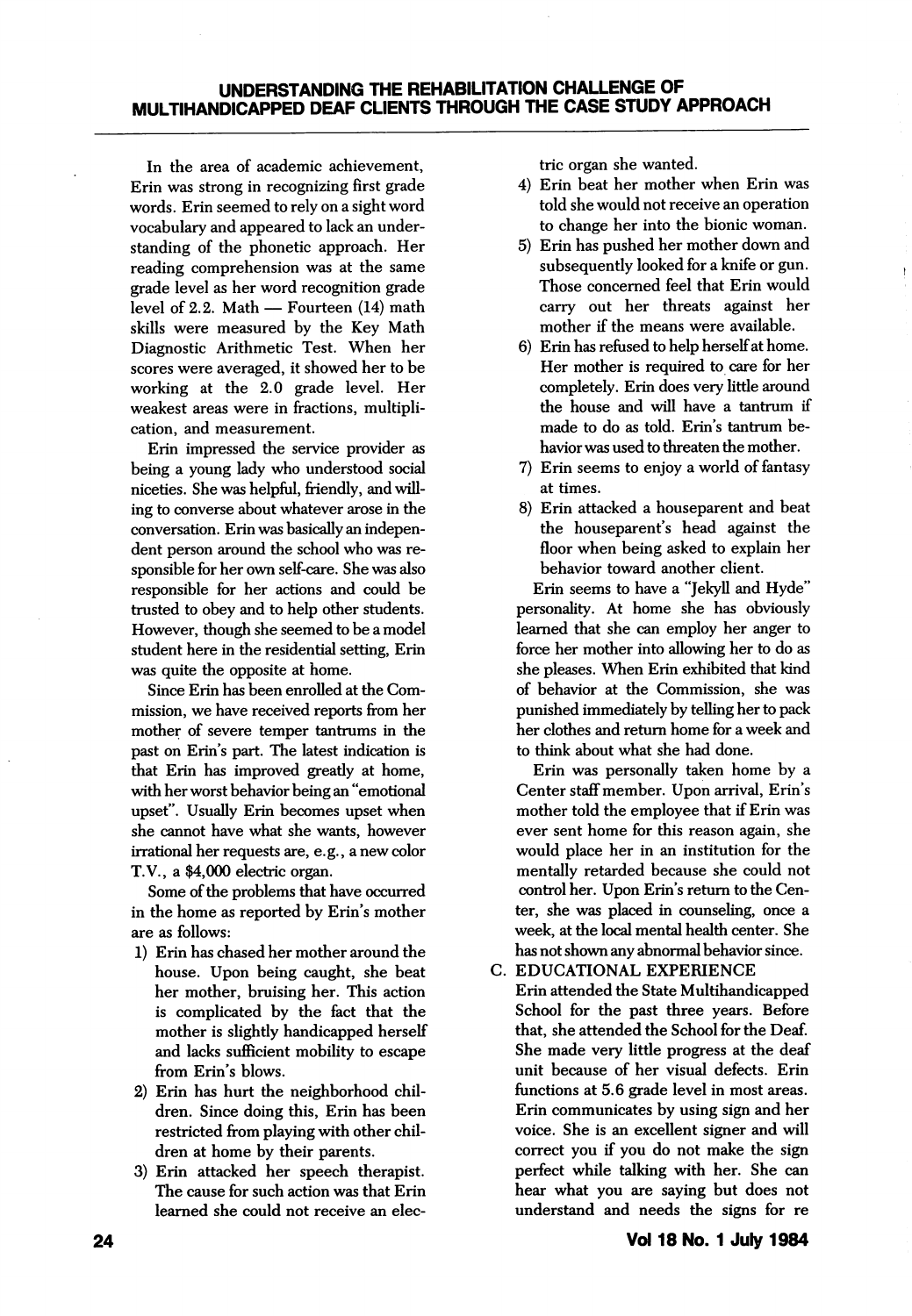## UNDERSTANDING THE REHABILITATION CHALLENGE OF MULTIHANDICAPPED DEAF CLIENTS THROUGH THE CASE STUDY APPROACH

In the area of academic achievement, Erin was strong in recognizing first grade words. Erin seemed to rely on a sight word vocabulary and appeared to lack an under standing of the phonetic approach. Her reading comprehension was at the same grade level as her word recognition grade level of 2.2. Math — Fourteen (14) math skills were measured by the Key Math Diagnostic Arithmetic Test. When her scores were averaged, it showed her to be working at the 2.0 grade level. Her weakest areas were in fractions, multipli cation, and measurement.

Erin impressed the service provider as being a young lady who understood social niceties. She was helpful, friendly, and will ing to converse about whatever arose in the conversation. Erin was basically an indepen dent person around the school who was re sponsible for her own self-care. She was also responsible for her actions and could be trusted to obey and to help other students. However, though she seemed to be a model student here in the residential setting, Erin was quite the opposite at home.

Since Erin has been enrolled at the Com mission, we have received reports from her mother of severe temper tantrums in the past on Erin's part. The latest indication is that Erin has improved greatly at home, with her worst behavior being an "emotional upset". Usually Erin becomes upset when she cannot have what she wants, however irrational her requests are, e.g., a new color T.V., a \$4,000 electric organ.

Some of the problems that have occurred in the home as reported by Erin's mother are as follows:

- 1) Erin has chased her mother around the house. Upon being caught, she beat her mother, bruising her. This action is complicated by the fact that the mother is slightly handicapped herself and lacks sufficient mobility to escape from Erin's blows.
- 2) Erin has hurt the neighborhood chil dren. Since doing this, Erin has been restricted from playing with other chil dren at home by their parents.
- 3) Erin attacked her speech therapist. The cause for such action was that Erin learned she could not receive an elec-

trie organ she wanted.

- 4) Erin beat her mother when Erin was told she would not receive an operation to change her into the bionic woman.
- 5) Erin has pushed her mother down and subsequently looked for a knife or gun. Those concerned feel that Erin would carry out her threats against her mother if the means were available.
- 6) Erin has refused to help herself at home. Her mother is required to care for her completely. Erin does very httle around the house and will have a tantrum if made to do as told. Erin's tantrum be havior was used to threaten the mother.
- 7) Erin seems to enjoy a world of fantasy at times.
- 8) Erin attacked a houseparent and beat the houseparent's head against the floor when being asked to explain her behavior toward another client.

Erin seems to have a "Jekyll and Hyde" personality. At home she has obviously learned that she can employ her anger to force her mother into allowing her to do as she pleases. When Erin exhibited that kind of behavior at the Commission, she was punished immediately by telling her to pack her clothes and return home for a week and to think about what she had done.

Erin was personally taken home by a Center staff member. Upon arrival, Erin's mother told the employee that if Erin was ever sent home for this reason again, she would place her in an institution for the mentally retarded because she could not control her. Upon Erin's return to the Cen ter, she was placed in counseling, once a week, at the local mental health center. She has not shown any abnormal behavior since.

C. EDUCATIONAL EXPERIENCE

Erin attended the State Multihandicapped School for the past three years. Before that, she attended the School for the Deaf. She made very little progress at the deaf unit because of her visual defects. Erin functions at 5.6 grade level in most areas. Erin communicates by using sign and her voice. She is an excellent signer and will correct you if you do not make the sign perfect while talking with her. She can hear what you are saying but does not understand and needs the signs for re